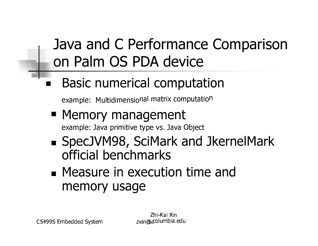#### Java and C Performance Comparison on Palm OS PDA device

**Basic numerical computation** 

example: Multidimensional matrix computation

- Memory management example: Java primitive type vs. Java Object
- SpecJVM98, SciMark and JkernelMark official benchmarks
- Measure in execution time and memory usage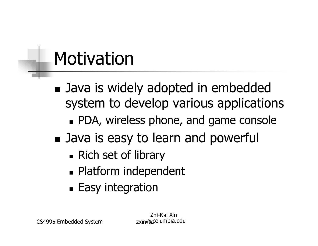### Motivation

- Java is widely adopted in embedded system to develop various applications
	- **PDA, wireless phone, and game console**
- Java is easy to learn and powerful
	- Rich set of library
	- Platform independent
	- **Easy integration**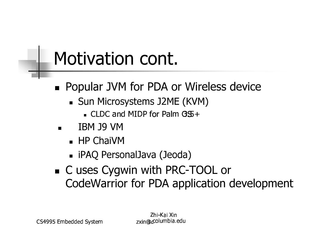### Motivation cont.

- Popular JVM for PDA or Wireless device
	- Sun Microsystems J2ME (KVM)
		- $\blacksquare$  CLDC and MIDP for Palm  $GS +$
	- **TBM J9 VM**  $\blacksquare$ 
		- HP ChaiVM
		- iPAQ PersonalJava (Jeoda)
- C uses Cygwin with PRC-TOOL or CodeWarrior for PDA application development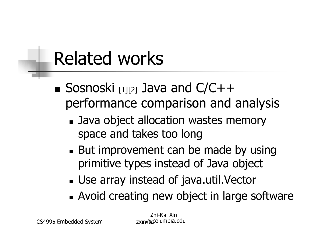## **Related works**

- Sosnoski  $[1][2]$  Java and  $C/C++$ performance comparison and analysis
	- Java object allocation wastes memory space and takes too long
	- But improvement can be made by using primitive types instead of Java object
	- Use array instead of java.util. Vector
	- Avoid creating new object in large software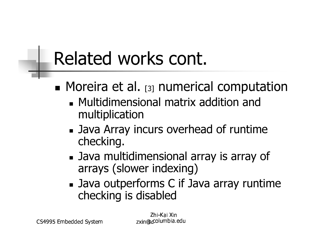## Related works cont.

- $\blacksquare$  Moreira et al. [3] numerical computation
	- Multidimensional matrix addition and multiplication
	- Java Array incurs overhead of runtime checking.
	- Java multidimensional array is array of arrays (slower indexing)
	- Java outperforms C if Java array runtime checking is disabled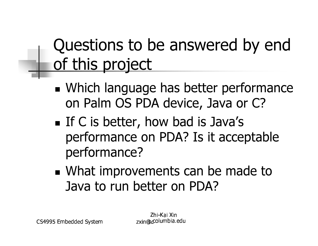### Questions to be answered by end <u>of this project</u>

- Which language has better performance on Palm OS PDA device, Java or C?
- If C is better, how bad is Java's performance on PDA? Is it acceptable performance?
- What improvements can be made to Java to run better on PDA?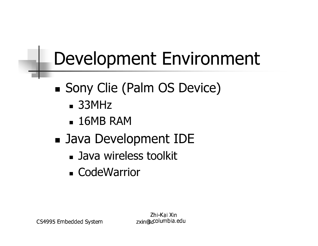# **Development Environment**

- Sony Clie (Palm OS Device)
	- $-33MHz$
	- $-16MB$  RAM
- Java Development IDE
	- Java wireless toolkit
	- CodeWarrior

CS4995 Embedded System

Zhi-Kai Xin zxin@columbia.edu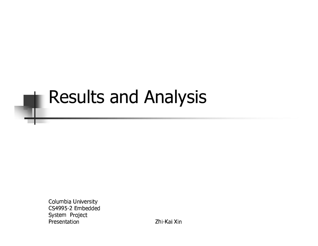#### Results and Analysis

والمازجين جريد والمستحدث والمحرور والحر S4995-2 Embedded System Project Presentation

**Tara** 

Zhi-Kai Xin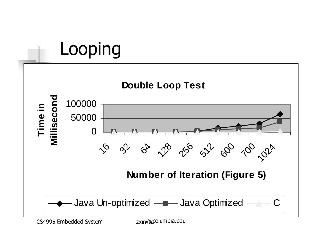

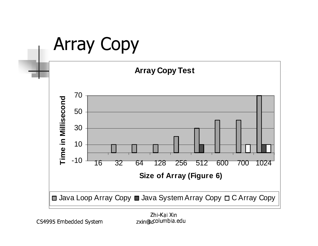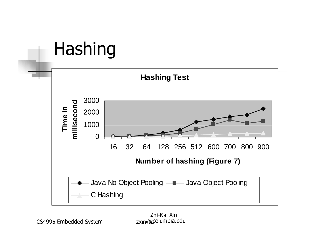### Hashing

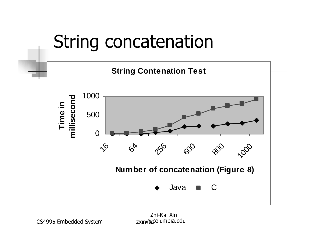

hi-Kai X<br>salumbi xin@columbia.ed<br>.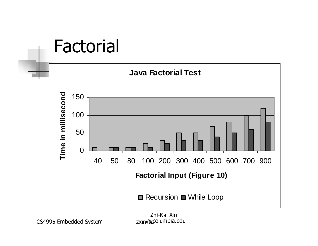#### **Factorial**



hi-Kai X<br>salumbi xin@columbia.ed<br>.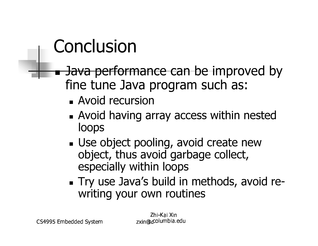### Conclusion

- Java performance can be improved by fine tune Java program such as:
	- Avoid recursion
	- Avoid having array access within nested loops
	- Use object pooling, avoid create new object, thus avoid garbage collect, especially within loops
	- . Try use Java's build in methods, avoid rewriting your own routines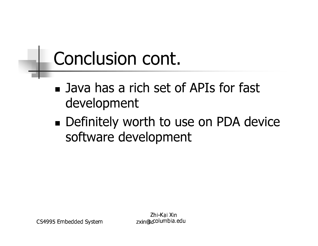## Conclusion cont.

- Java has a rich set of APIs for fast development
- Definitely worth to use on PDA device software development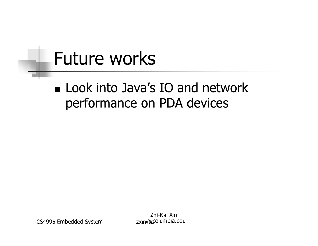### **Future works**

#### **Look into Java's IO and network** performance on PDA devices

CS4995 Embedded System

Zhi-Kai Xin zxin@columbia.edu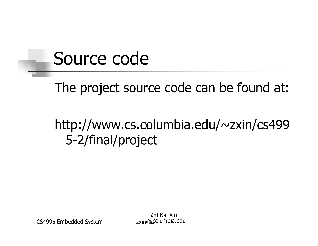### Source code

The project source code can be found at:

#### http://www.cs.columbia.edu/~zxin/cs499 5-2/final/project

CS4995 Embedded System

Zhi-Kai Xin zxin@columbia.edu